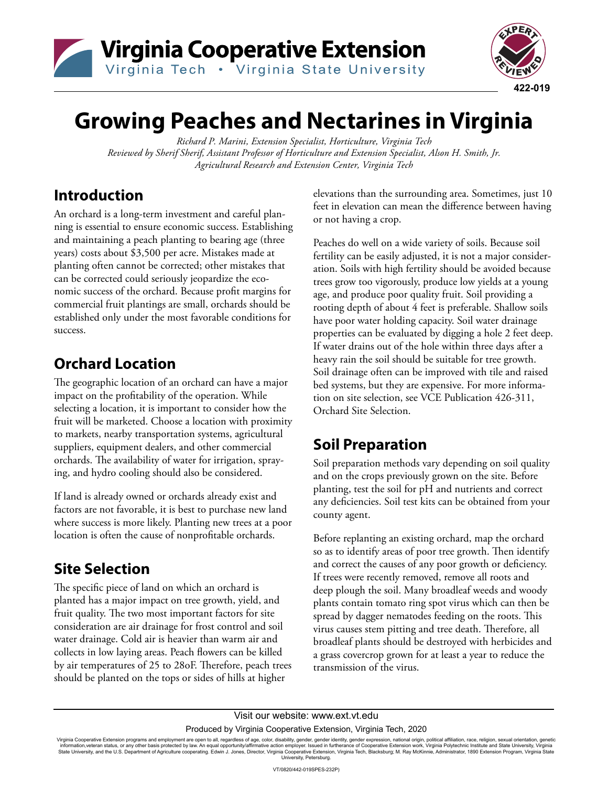



## **Growing Peaches and Nectarines in Virginia**

*Richard P. Marini, Extension Specialist, Horticulture, Virginia Tech Reviewed by Sherif Sherif, Assistant Professor of Horticulture and Extension Specialist, Alson H. Smith, Jr. Agricultural Research and Extension Center, Virginia Tech*

#### **Introduction**

An orchard is a long-term investment and careful planning is essential to ensure economic success. Establishing and maintaining a peach planting to bearing age (three years) costs about \$3,500 per acre. Mistakes made at planting often cannot be corrected; other mistakes that can be corrected could seriously jeopardize the economic success of the orchard. Because profit margins for commercial fruit plantings are small, orchards should be established only under the most favorable conditions for success.

## **Orchard Location**

The geographic location of an orchard can have a major impact on the profitability of the operation. While selecting a location, it is important to consider how the fruit will be marketed. Choose a location with proximity to markets, nearby transportation systems, agricultural suppliers, equipment dealers, and other commercial orchards. The availability of water for irrigation, spraying, and hydro cooling should also be considered.

If land is already owned or orchards already exist and factors are not favorable, it is best to purchase new land where success is more likely. Planting new trees at a poor location is often the cause of nonprofitable orchards.

## **Site Selection**

The specific piece of land on which an orchard is planted has a major impact on tree growth, yield, and fruit quality. The two most important factors for site consideration are air drainage for frost control and soil water drainage. Cold air is heavier than warm air and collects in low laying areas. Peach flowers can be killed by air temperatures of 25 to 28oF. Therefore, peach trees should be planted on the tops or sides of hills at higher

elevations than the surrounding area. Sometimes, just 10 feet in elevation can mean the difference between having or not having a crop.

Peaches do well on a wide variety of soils. Because soil fertility can be easily adjusted, it is not a major consideration. Soils with high fertility should be avoided because trees grow too vigorously, produce low yields at a young age, and produce poor quality fruit. Soil providing a rooting depth of about 4 feet is preferable. Shallow soils have poor water holding capacity. Soil water drainage properties can be evaluated by digging a hole 2 feet deep. If water drains out of the hole within three days after a heavy rain the soil should be suitable for tree growth. Soil drainage often can be improved with tile and raised bed systems, but they are expensive. For more information on site selection, see VCE Publication 426-311, Orchard Site Selection.

## **Soil Preparation**

Soil preparation methods vary depending on soil quality and on the crops previously grown on the site. Before planting, test the soil for pH and nutrients and correct any deficiencies. Soil test kits can be obtained from your county agent.

Before replanting an existing orchard, map the orchard so as to identify areas of poor tree growth. Then identify and correct the causes of any poor growth or deficiency. If trees were recently removed, remove all roots and deep plough the soil. Many broadleaf weeds and woody plants contain tomato ring spot virus which can then be spread by dagger nematodes feeding on the roots. This virus causes stem pitting and tree death. Therefore, all broadleaf plants should be destroyed with herbicides and a grass covercrop grown for at least a year to reduce the transmission of the virus.

Virginia Cooperative Extension programs and employment are open to all, regardless of age, color, disability, gender, gender identity, gender expression, national origin, political affiliation, race, religion, sexual orien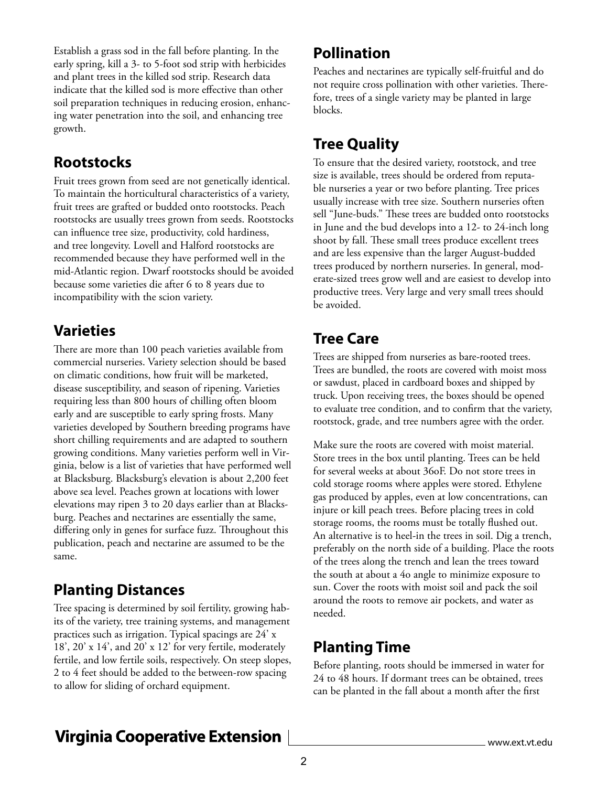Establish a grass sod in the fall before planting. In the early spring, kill a 3- to 5-foot sod strip with herbicides and plant trees in the killed sod strip. Research data indicate that the killed sod is more effective than other soil preparation techniques in reducing erosion, enhancing water penetration into the soil, and enhancing tree growth.

#### **Rootstocks**

Fruit trees grown from seed are not genetically identical. To maintain the horticultural characteristics of a variety, fruit trees are grafted or budded onto rootstocks. Peach rootstocks are usually trees grown from seeds. Rootstocks can influence tree size, productivity, cold hardiness, and tree longevity. Lovell and Halford rootstocks are recommended because they have performed well in the mid-Atlantic region. Dwarf rootstocks should be avoided because some varieties die after 6 to 8 years due to incompatibility with the scion variety.

#### **Varieties**

There are more than 100 peach varieties available from commercial nurseries. Variety selection should be based on climatic conditions, how fruit will be marketed, disease susceptibility, and season of ripening. Varieties requiring less than 800 hours of chilling often bloom early and are susceptible to early spring frosts. Many varieties developed by Southern breeding programs have short chilling requirements and are adapted to southern growing conditions. Many varieties perform well in Virginia, below is a list of varieties that have performed well at Blacksburg. Blacksburg's elevation is about 2,200 feet above sea level. Peaches grown at locations with lower elevations may ripen 3 to 20 days earlier than at Blacksburg. Peaches and nectarines are essentially the same, differing only in genes for surface fuzz. Throughout this publication, peach and nectarine are assumed to be the same.

#### **Planting Distances**

Tree spacing is determined by soil fertility, growing habits of the variety, tree training systems, and management practices such as irrigation. Typical spacings are 24' x 18', 20' x 14', and 20' x 12' for very fertile, moderately fertile, and low fertile soils, respectively. On steep slopes, 2 to 4 feet should be added to the between-row spacing to allow for sliding of orchard equipment.

#### **Pollination**

Peaches and nectarines are typically self-fruitful and do not require cross pollination with other varieties. Therefore, trees of a single variety may be planted in large blocks.

## **Tree Quality**

To ensure that the desired variety, rootstock, and tree size is available, trees should be ordered from reputable nurseries a year or two before planting. Tree prices usually increase with tree size. Southern nurseries often sell "June-buds." These trees are budded onto rootstocks in June and the bud develops into a 12- to 24-inch long shoot by fall. These small trees produce excellent trees and are less expensive than the larger August-budded trees produced by northern nurseries. In general, moderate-sized trees grow well and are easiest to develop into productive trees. Very large and very small trees should be avoided.

#### **Tree Care**

Trees are shipped from nurseries as bare-rooted trees. Trees are bundled, the roots are covered with moist moss or sawdust, placed in cardboard boxes and shipped by truck. Upon receiving trees, the boxes should be opened to evaluate tree condition, and to confirm that the variety, rootstock, grade, and tree numbers agree with the order.

Make sure the roots are covered with moist material. Store trees in the box until planting. Trees can be held for several weeks at about 36oF. Do not store trees in cold storage rooms where apples were stored. Ethylene gas produced by apples, even at low concentrations, can injure or kill peach trees. Before placing trees in cold storage rooms, the rooms must be totally flushed out. An alternative is to heel-in the trees in soil. Dig a trench, preferably on the north side of a building. Place the roots of the trees along the trench and lean the trees toward the south at about a 4o angle to minimize exposure to sun. Cover the roots with moist soil and pack the soil around the roots to remove air pockets, and water as needed.

#### **Planting Time**

Before planting, roots should be immersed in water for 24 to 48 hours. If dormant trees can be obtained, trees can be planted in the fall about a month after the first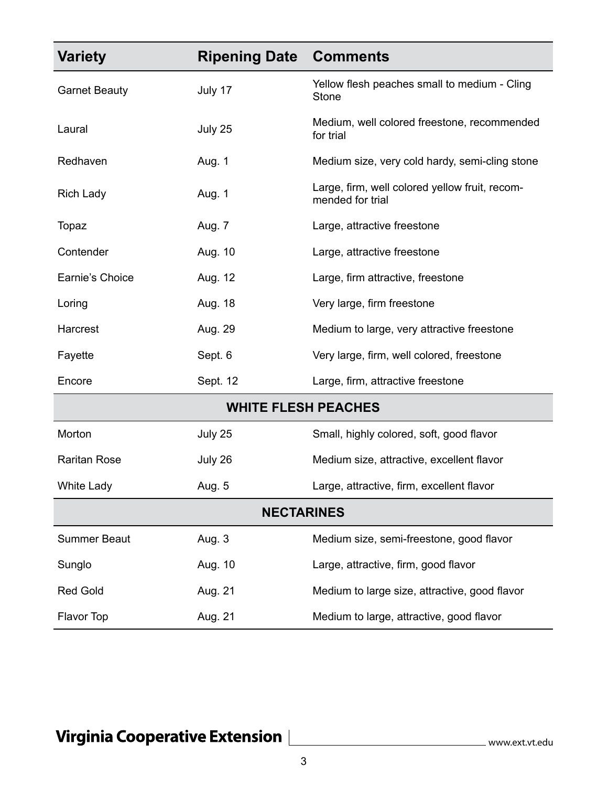| <b>Variety</b>             | <b>Ripening Date</b> | <b>Comments</b>                                                    |
|----------------------------|----------------------|--------------------------------------------------------------------|
| <b>Garnet Beauty</b>       | July 17              | Yellow flesh peaches small to medium - Cling<br>Stone              |
| Laural                     | July 25              | Medium, well colored freestone, recommended<br>for trial           |
| Redhaven                   | Aug. 1               | Medium size, very cold hardy, semi-cling stone                     |
| <b>Rich Lady</b>           | Aug. 1               | Large, firm, well colored yellow fruit, recom-<br>mended for trial |
| Topaz                      | Aug. 7               | Large, attractive freestone                                        |
| Contender                  | Aug. 10              | Large, attractive freestone                                        |
| Earnie's Choice            | Aug. 12              | Large, firm attractive, freestone                                  |
| Loring                     | Aug. 18              | Very large, firm freestone                                         |
| Harcrest                   | Aug. 29              | Medium to large, very attractive freestone                         |
| Fayette                    | Sept. 6              | Very large, firm, well colored, freestone                          |
| Encore                     | Sept. 12             | Large, firm, attractive freestone                                  |
| <b>WHITE FLESH PEACHES</b> |                      |                                                                    |
| Morton                     | July 25              | Small, highly colored, soft, good flavor                           |
| <b>Raritan Rose</b>        | July 26              | Medium size, attractive, excellent flavor                          |
| <b>White Lady</b>          | Aug. 5               | Large, attractive, firm, excellent flavor                          |
| <b>NECTARINES</b>          |                      |                                                                    |
| <b>Summer Beaut</b>        | Aug. 3               | Medium size, semi-freestone, good flavor                           |
| Sunglo                     | Aug. 10              | Large, attractive, firm, good flavor                               |
| <b>Red Gold</b>            | Aug. 21              | Medium to large size, attractive, good flavor                      |
| Flavor Top                 | Aug. 21              | Medium to large, attractive, good flavor                           |

# Virginia Cooperative Extension | **Wirginia Cooperative Extension**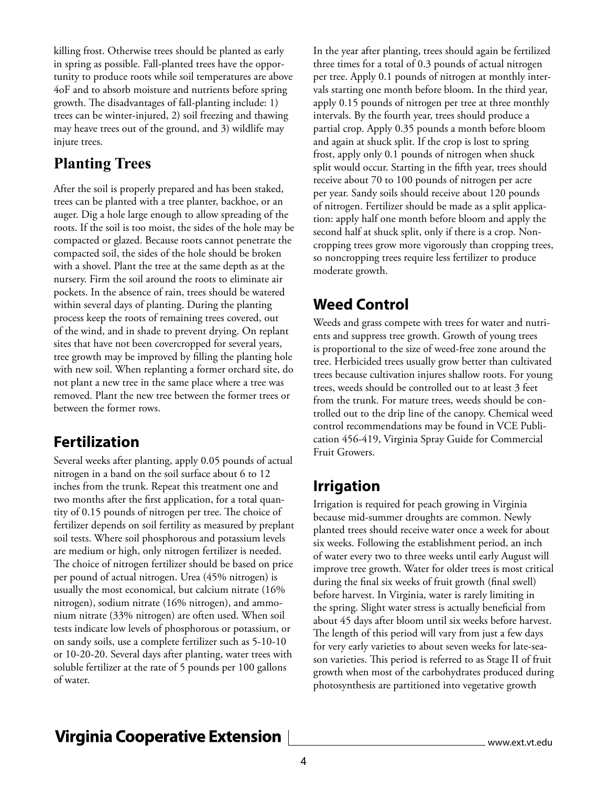killing frost. Otherwise trees should be planted as early in spring as possible. Fall-planted trees have the opportunity to produce roots while soil temperatures are above 4oF and to absorb moisture and nutrients before spring growth. The disadvantages of fall-planting include: 1) trees can be winter-injured, 2) soil freezing and thawing may heave trees out of the ground, and 3) wildlife may injure trees.

#### **Planting Trees**

After the soil is properly prepared and has been staked, trees can be planted with a tree planter, backhoe, or an auger. Dig a hole large enough to allow spreading of the roots. If the soil is too moist, the sides of the hole may be compacted or glazed. Because roots cannot penetrate the compacted soil, the sides of the hole should be broken with a shovel. Plant the tree at the same depth as at the nursery. Firm the soil around the roots to eliminate air pockets. In the absence of rain, trees should be watered within several days of planting. During the planting process keep the roots of remaining trees covered, out of the wind, and in shade to prevent drying. On replant sites that have not been covercropped for several years, tree growth may be improved by filling the planting hole with new soil. When replanting a former orchard site, do not plant a new tree in the same place where a tree was removed. Plant the new tree between the former trees or between the former rows.

#### **Fertilization**

Several weeks after planting, apply 0.05 pounds of actual nitrogen in a band on the soil surface about 6 to 12 inches from the trunk. Repeat this treatment one and two months after the first application, for a total quantity of 0.15 pounds of nitrogen per tree. The choice of fertilizer depends on soil fertility as measured by preplant soil tests. Where soil phosphorous and potassium levels are medium or high, only nitrogen fertilizer is needed. The choice of nitrogen fertilizer should be based on price per pound of actual nitrogen. Urea (45% nitrogen) is usually the most economical, but calcium nitrate (16% nitrogen), sodium nitrate (16% nitrogen), and ammonium nitrate (33% nitrogen) are often used. When soil tests indicate low levels of phosphorous or potassium, or on sandy soils, use a complete fertilizer such as 5-10-10 or 10-20-20. Several days after planting, water trees with soluble fertilizer at the rate of 5 pounds per 100 gallons of water.

In the year after planting, trees should again be fertilized three times for a total of 0.3 pounds of actual nitrogen per tree. Apply 0.1 pounds of nitrogen at monthly intervals starting one month before bloom. In the third year, apply 0.15 pounds of nitrogen per tree at three monthly intervals. By the fourth year, trees should produce a partial crop. Apply 0.35 pounds a month before bloom and again at shuck split. If the crop is lost to spring frost, apply only 0.1 pounds of nitrogen when shuck split would occur. Starting in the fifth year, trees should receive about 70 to 100 pounds of nitrogen per acre per year. Sandy soils should receive about 120 pounds of nitrogen. Fertilizer should be made as a split application: apply half one month before bloom and apply the second half at shuck split, only if there is a crop. Noncropping trees grow more vigorously than cropping trees, so noncropping trees require less fertilizer to produce moderate growth.

#### **Weed Control**

Weeds and grass compete with trees for water and nutrients and suppress tree growth. Growth of young trees is proportional to the size of weed-free zone around the tree. Herbicided trees usually grow better than cultivated trees because cultivation injures shallow roots. For young trees, weeds should be controlled out to at least 3 feet from the trunk. For mature trees, weeds should be controlled out to the drip line of the canopy. Chemical weed control recommendations may be found in VCE Publication 456-419, Virginia Spray Guide for Commercial Fruit Growers.

#### **Irrigation**

Irrigation is required for peach growing in Virginia because mid-summer droughts are common. Newly planted trees should receive water once a week for about six weeks. Following the establishment period, an inch of water every two to three weeks until early August will improve tree growth. Water for older trees is most critical during the final six weeks of fruit growth (final swell) before harvest. In Virginia, water is rarely limiting in the spring. Slight water stress is actually beneficial from about 45 days after bloom until six weeks before harvest. The length of this period will vary from just a few days for very early varieties to about seven weeks for late-season varieties. This period is referred to as Stage II of fruit growth when most of the carbohydrates produced during photosynthesis are partitioned into vegetative growth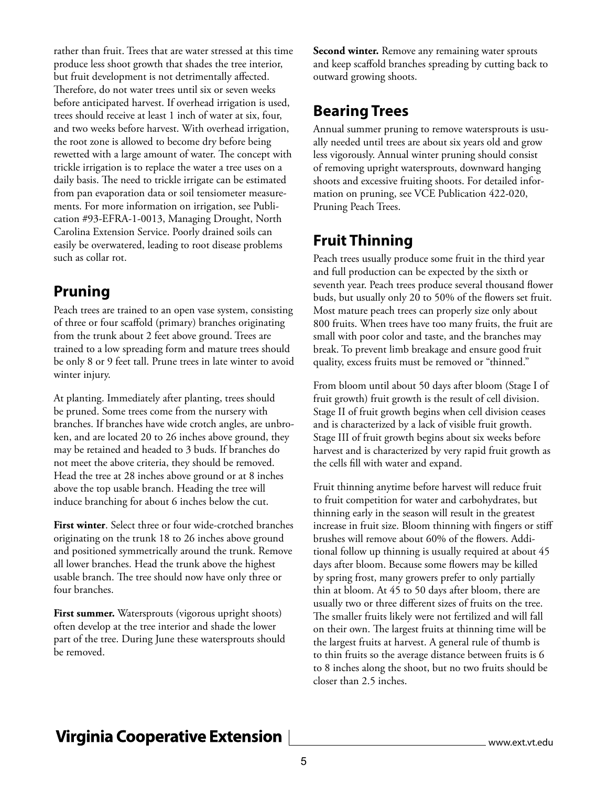rather than fruit. Trees that are water stressed at this time produce less shoot growth that shades the tree interior, but fruit development is not detrimentally affected. Therefore, do not water trees until six or seven weeks before anticipated harvest. If overhead irrigation is used, trees should receive at least 1 inch of water at six, four, and two weeks before harvest. With overhead irrigation, the root zone is allowed to become dry before being rewetted with a large amount of water. The concept with trickle irrigation is to replace the water a tree uses on a daily basis. The need to trickle irrigate can be estimated from pan evaporation data or soil tensiometer measurements. For more information on irrigation, see Publication #93-EFRA-1-0013, Managing Drought, North Carolina Extension Service. Poorly drained soils can easily be overwatered, leading to root disease problems such as collar rot.

#### **Pruning**

Peach trees are trained to an open vase system, consisting of three or four scaffold (primary) branches originating from the trunk about 2 feet above ground. Trees are trained to a low spreading form and mature trees should be only 8 or 9 feet tall. Prune trees in late winter to avoid winter injury.

At planting. Immediately after planting, trees should be pruned. Some trees come from the nursery with branches. If branches have wide crotch angles, are unbroken, and are located 20 to 26 inches above ground, they may be retained and headed to 3 buds. If branches do not meet the above criteria, they should be removed. Head the tree at 28 inches above ground or at 8 inches above the top usable branch. Heading the tree will induce branching for about 6 inches below the cut.

**First winter**. Select three or four wide-crotched branches originating on the trunk 18 to 26 inches above ground and positioned symmetrically around the trunk. Remove all lower branches. Head the trunk above the highest usable branch. The tree should now have only three or four branches.

**First summer.** Watersprouts (vigorous upright shoots) often develop at the tree interior and shade the lower part of the tree. During June these watersprouts should be removed.

**Second winter.** Remove any remaining water sprouts and keep scaffold branches spreading by cutting back to outward growing shoots.

#### **Bearing Trees**

Annual summer pruning to remove watersprouts is usually needed until trees are about six years old and grow less vigorously. Annual winter pruning should consist of removing upright watersprouts, downward hanging shoots and excessive fruiting shoots. For detailed information on pruning, see VCE Publication 422-020, Pruning Peach Trees.

## **Fruit Thinning**

Peach trees usually produce some fruit in the third year and full production can be expected by the sixth or seventh year. Peach trees produce several thousand flower buds, but usually only 20 to 50% of the flowers set fruit. Most mature peach trees can properly size only about 800 fruits. When trees have too many fruits, the fruit are small with poor color and taste, and the branches may break. To prevent limb breakage and ensure good fruit quality, excess fruits must be removed or "thinned."

From bloom until about 50 days after bloom (Stage I of fruit growth) fruit growth is the result of cell division. Stage II of fruit growth begins when cell division ceases and is characterized by a lack of visible fruit growth. Stage III of fruit growth begins about six weeks before harvest and is characterized by very rapid fruit growth as the cells fill with water and expand.

Fruit thinning anytime before harvest will reduce fruit to fruit competition for water and carbohydrates, but thinning early in the season will result in the greatest increase in fruit size. Bloom thinning with fingers or stiff brushes will remove about 60% of the flowers. Additional follow up thinning is usually required at about 45 days after bloom. Because some flowers may be killed by spring frost, many growers prefer to only partially thin at bloom. At 45 to 50 days after bloom, there are usually two or three different sizes of fruits on the tree. The smaller fruits likely were not fertilized and will fall on their own. The largest fruits at thinning time will be the largest fruits at harvest. A general rule of thumb is to thin fruits so the average distance between fruits is 6 to 8 inches along the shoot, but no two fruits should be closer than 2.5 inches.